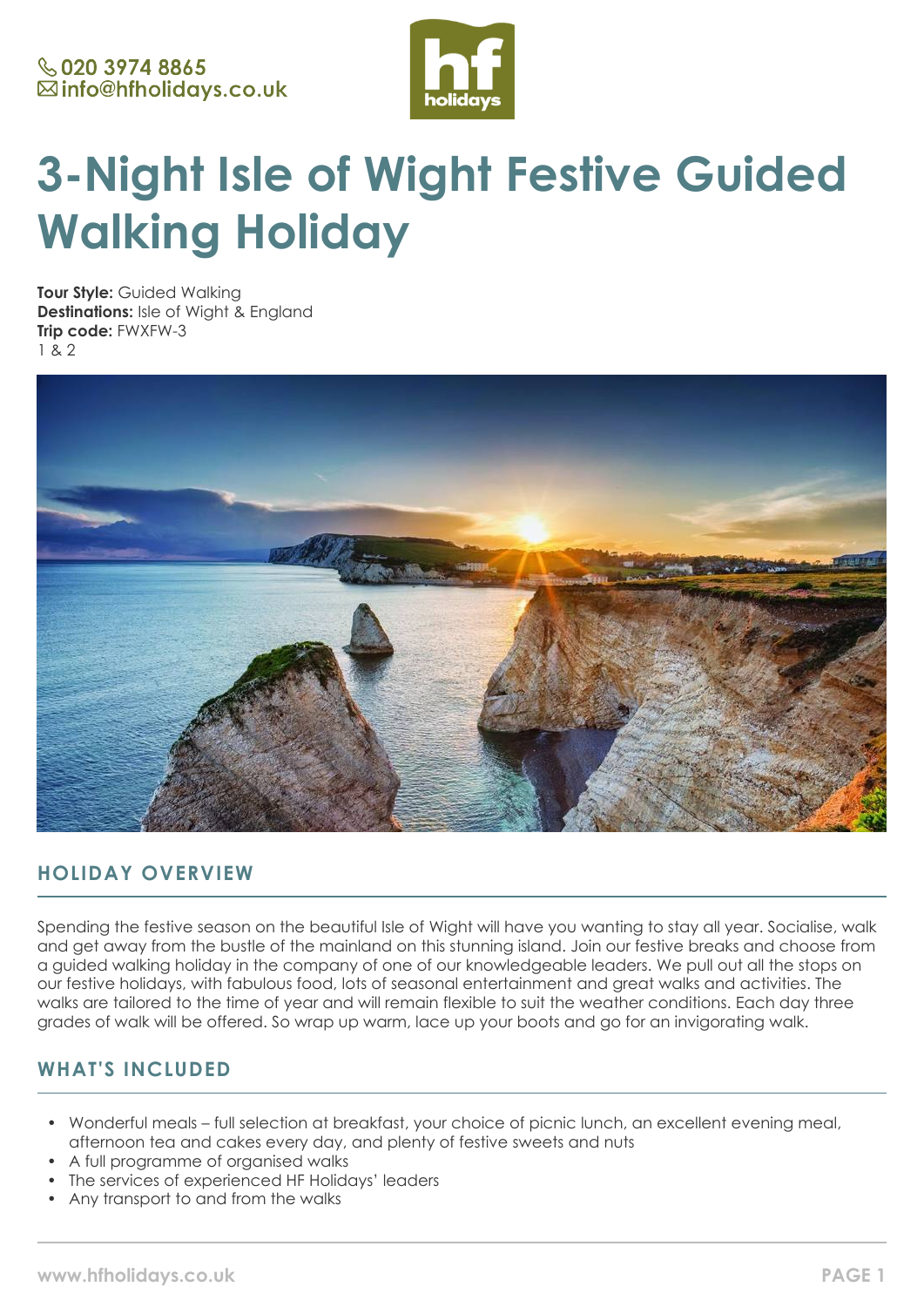

# **3-Night Isle of Wight Festive Guided Walking Holiday**

**Tour Style:** Guided Walking **Destinations:** Isle of Wight & England **Trip code:** FWXFW-3 1 & 2



# **HOLIDAY OVERVIEW**

Spending the festive season on the beautiful Isle of Wight will have you wanting to stay all year. Socialise, walk and get away from the bustle of the mainland on this stunning island. Join our festive breaks and choose from a guided walking holiday in the company of one of our knowledgeable leaders. We pull out all the stops on our festive holidays, with fabulous food, lots of seasonal entertainment and great walks and activities. The walks are tailored to the time of year and will remain flexible to suit the weather conditions. Each day three grades of walk will be offered. So wrap up warm, lace up your boots and go for an invigorating walk.

# **WHAT'S INCLUDED**

- Wonderful meals full selection at breakfast, your choice of picnic lunch, an excellent evening meal, afternoon tea and cakes every day, and plenty of festive sweets and nuts
- A full programme of organised walks
- The services of experienced HF Holidays' leaders
- Any transport to and from the walks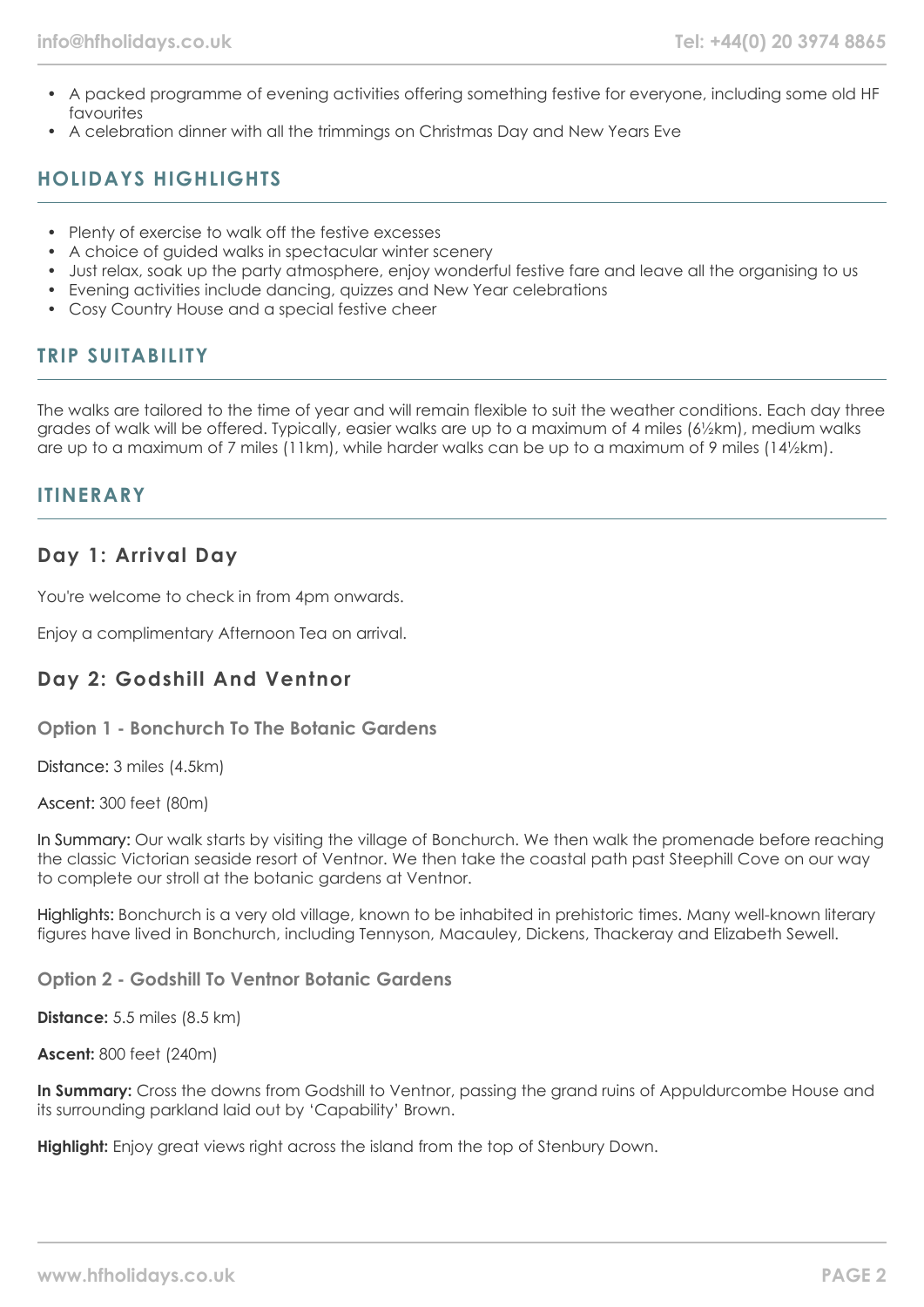- A packed programme of evening activities offering something festive for everyone, including some old HF favourites
- A celebration dinner with all the trimmings on Christmas Day and New Years Eve

# **HOLIDAYS HIGHLIGHTS**

- Plenty of exercise to walk off the festive excesses
- A choice of guided walks in spectacular winter scenery
- Just relax, soak up the party atmosphere, enjoy wonderful festive fare and leave all the organising to us
- Evening activities include dancing, quizzes and New Year celebrations
- Cosy Country House and a special festive cheer

## **TRIP SUITABILITY**

The walks are tailored to the time of year and will remain flexible to suit the weather conditions. Each day three grades of walk will be offered. Typically, easier walks are up to a maximum of 4 miles (6½km), medium walks are up to a maximum of 7 miles (11km), while harder walks can be up to a maximum of 9 miles (14½km).

## **ITINERARY**

## **Day 1: Arrival Day**

You're welcome to check in from 4pm onwards.

Enjoy a complimentary Afternoon Tea on arrival.

## **Day 2: Godshill And Ventnor**

**Option 1 - Bonchurch To The Botanic Gardens**

Distance: 3 miles (4.5km)

Ascent: 300 feet (80m)

In Summary: Our walk starts by visiting the village of Bonchurch. We then walk the promenade before reaching the classic Victorian seaside resort of Ventnor. We then take the coastal path past Steephill Cove on our way to complete our stroll at the botanic gardens at Ventnor.

Highlights: Bonchurch is a very old village, known to be inhabited in prehistoric times. Many well-known literary figures have lived in Bonchurch, including Tennyson, Macauley, Dickens, Thackeray and Elizabeth Sewell.

**Option 2 - Godshill To Ventnor Botanic Gardens**

**Distance:** 5.5 miles (8.5 km)

**Ascent:** 800 feet (240m)

**In Summary:** Cross the downs from Godshill to Ventnor, passing the grand ruins of Appuldurcombe House and its surrounding parkland laid out by 'Capability' Brown.

**Highlight:** Enjoy great views right across the island from the top of Stenbury Down.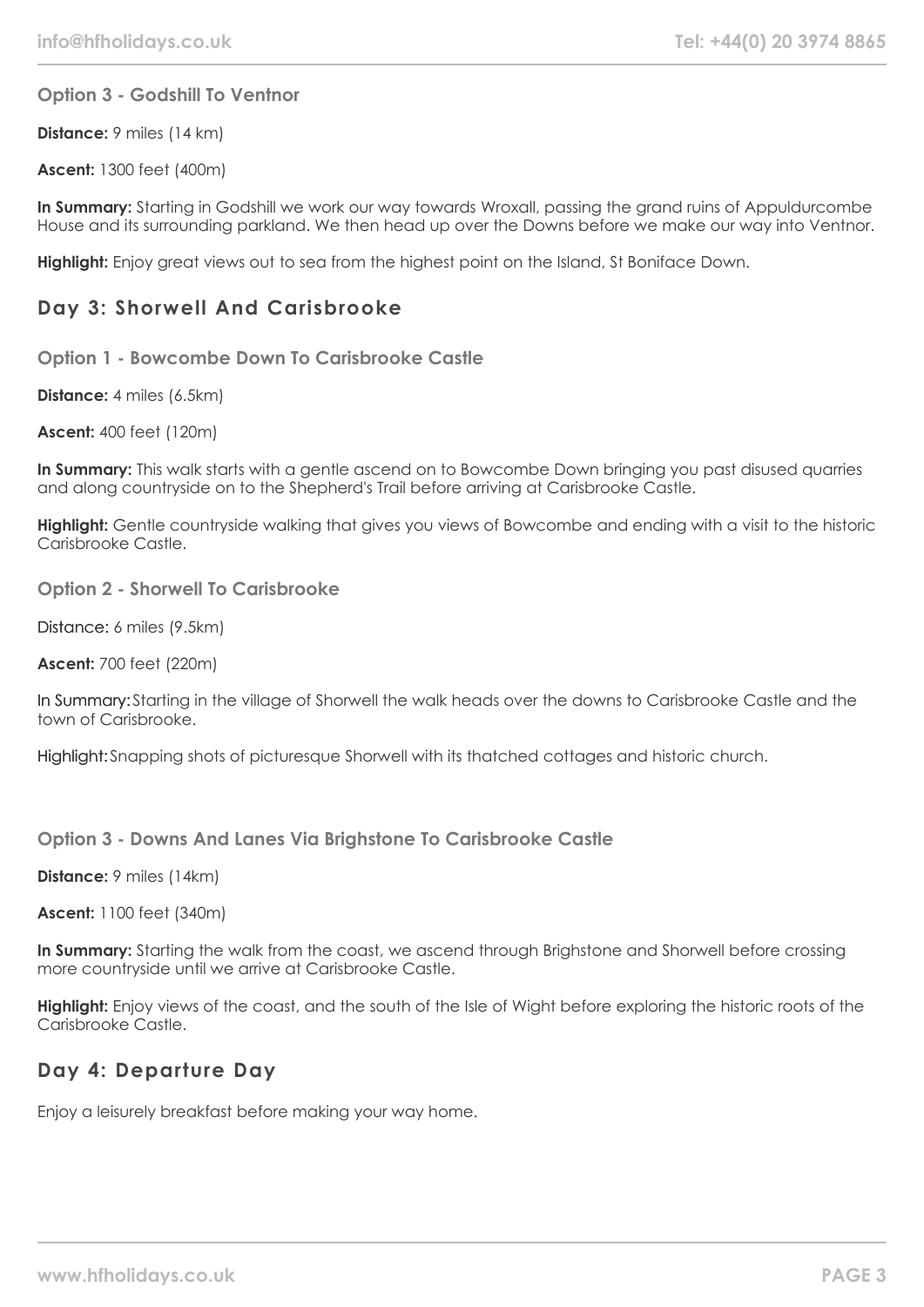#### **Option 3 - Godshill To Ventnor**

**Distance:** 9 miles (14 km)

**Ascent:** 1300 feet (400m)

**In Summary:** Starting in Godshill we work our way towards Wroxall, passing the grand ruins of Appuldurcombe House and its surrounding parkland. We then head up over the Downs before we make our way into Ventnor.

**Highlight:** Enjoy great views out to sea from the highest point on the Island, St Boniface Down.

## **Day 3: Shorwell And Carisbrooke**

**Option 1 - Bowcombe Down To Carisbrooke Castle**

**Distance:** 4 miles (6.5km)

**Ascent:** 400 feet (120m)

**In Summary:** This walk starts with a gentle ascend on to Bowcombe Down bringing you past disused quarries and along countryside on to the Shepherd's Trail before arriving at Carisbrooke Castle.

**Highlight:** Gentle countryside walking that gives you views of Bowcombe and ending with a visit to the historic Carisbrooke Castle.

**Option 2 - Shorwell To Carisbrooke**

Distance: 6 miles (9.5km)

**Ascent:** 700 feet (220m)

In Summary: Starting in the village of Shorwell the walk heads over the downs to Carisbrooke Castle and the town of Carisbrooke.

Highlight: Snapping shots of picturesque Shorwell with its thatched cottages and historic church.

**Option 3 - Downs And Lanes Via Brighstone To Carisbrooke Castle**

**Distance:** 9 miles (14km)

**Ascent:** 1100 feet (340m)

**In Summary:** Starting the walk from the coast, we ascend through Brighstone and Shorwell before crossing more countryside until we arrive at Carisbrooke Castle.

**Highlight:** Enjoy views of the coast, and the south of the Isle of Wight before exploring the historic roots of the Carisbrooke Castle.

## **Day 4: Departure Day**

Enjoy a leisurely breakfast before making your way home.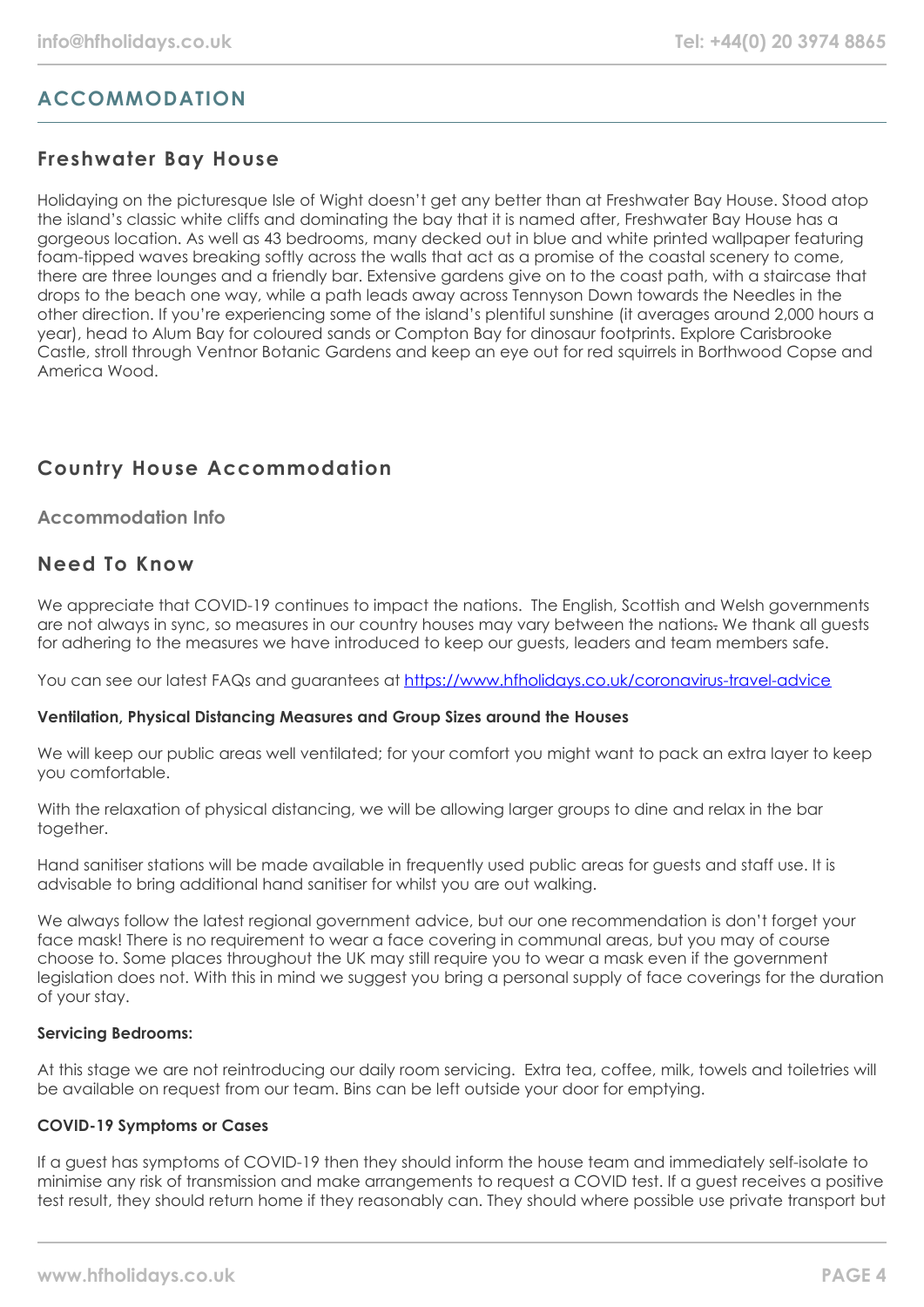# **ACCOMMODATION**

## **Freshwater Bay House**

Holidaying on the picturesque Isle of Wight doesn't get any better than at Freshwater Bay House. Stood atop the island's classic white cliffs and dominating the bay that it is named after, Freshwater Bay House has a gorgeous location. As well as 43 bedrooms, many decked out in blue and white printed wallpaper featuring foam-tipped waves breaking softly across the walls that act as a promise of the coastal scenery to come, there are three lounges and a friendly bar. Extensive gardens give on to the coast path, with a staircase that drops to the beach one way, while a path leads away across Tennyson Down towards the Needles in the other direction. If you're experiencing some of the island's plentiful sunshine (it averages around 2,000 hours a year), head to Alum Bay for coloured sands or Compton Bay for dinosaur footprints. Explore Carisbrooke Castle, stroll through Ventnor Botanic Gardens and keep an eye out for red squirrels in Borthwood Copse and America Wood.

# **Country House Accommodation**

### **Accommodation Info**

## **Need To Know**

We appreciate that COVID-19 continues to impact the nations. The English, Scottish and Welsh governments are not always in sync, so measures in our country houses may vary between the nations. We thank all quests for adhering to the measures we have introduced to keep our guests, leaders and team members safe.

You can see our latest FAQs and guarantees at <https://www.hfholidays.co.uk/coronavirus-travel-advice>

#### **Ventilation, Physical Distancing Measures and Group Sizes around the Houses**

We will keep our public areas well ventilated; for your comfort you might want to pack an extra layer to keep you comfortable.

With the relaxation of physical distancing, we will be allowing larger groups to dine and relax in the bar together.

Hand sanitiser stations will be made available in frequently used public areas for guests and staff use. It is advisable to bring additional hand sanitiser for whilst you are out walking.

We always follow the latest regional government advice, but our one recommendation is don't forget your face mask! There is no requirement to wear a face covering in communal areas, but you may of course choose to. Some places throughout the UK may still require you to wear a mask even if the government legislation does not. With this in mind we suggest you bring a personal supply of face coverings for the duration of your stay.

#### **Servicing Bedrooms:**

At this stage we are not reintroducing our daily room servicing. Extra tea, coffee, milk, towels and toiletries will be available on request from our team. Bins can be left outside your door for emptying.

#### **COVID-19 Symptoms or Cases**

If a guest has symptoms of COVID-19 then they should inform the house team and immediately self-isolate to minimise any risk of transmission and make arrangements to request a COVID test. If a guest receives a positive test result, they should return home if they reasonably can. They should where possible use private transport but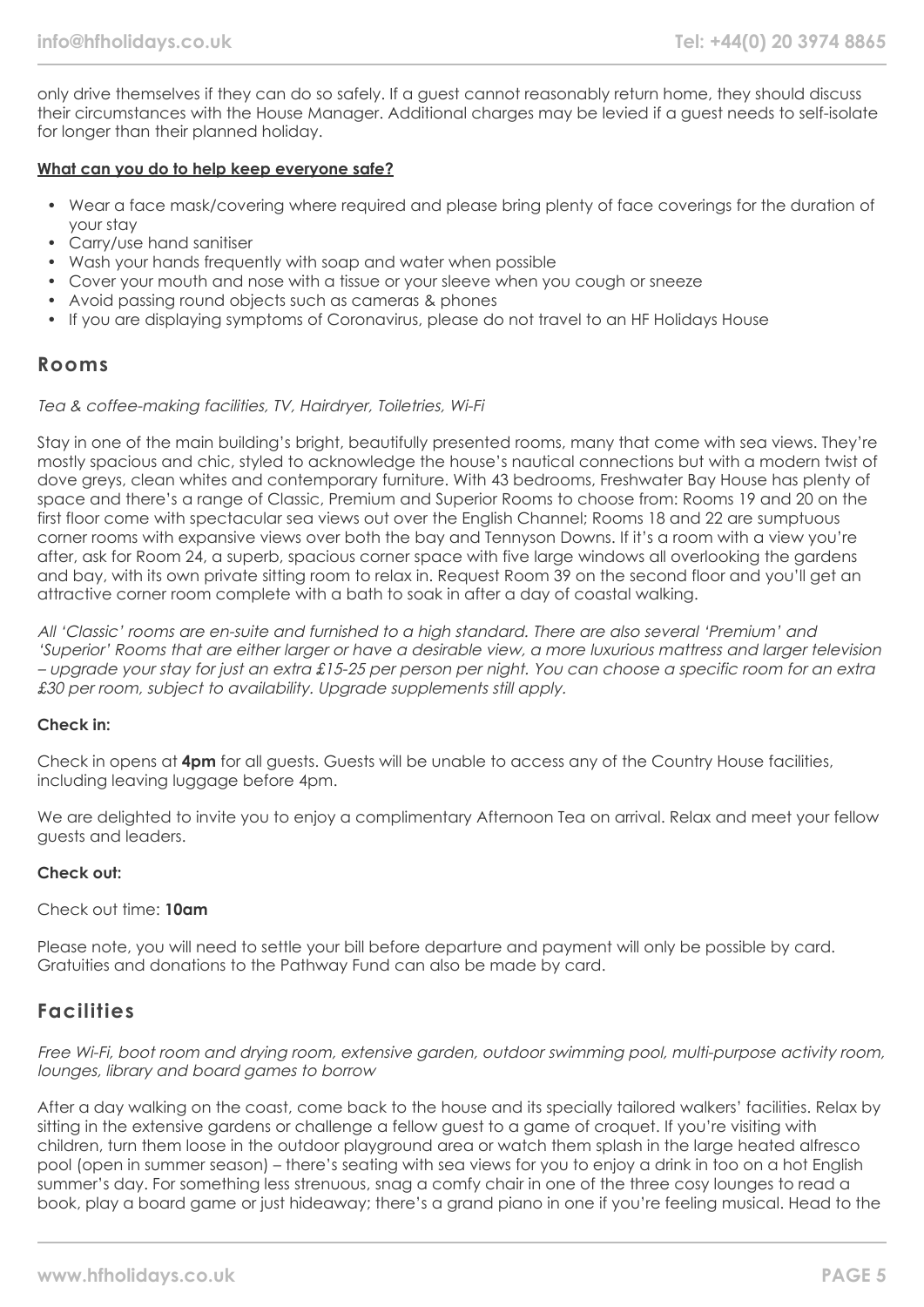only drive themselves if they can do so safely. If a guest cannot reasonably return home, they should discuss their circumstances with the House Manager. Additional charges may be levied if a guest needs to self-isolate for longer than their planned holiday.

#### **What can you do to help keep everyone safe?**

- Wear a face mask/covering where required and please bring plenty of face coverings for the duration of your stay
- Carry/use hand sanitiser
- Wash your hands frequently with soap and water when possible
- Cover your mouth and nose with a tissue or your sleeve when you cough or sneeze
- Avoid passing round objects such as cameras & phones
- If you are displaying symptoms of Coronavirus, please do not travel to an HF Holidays House

#### **Rooms**

#### Tea & coffee-making facilities, TV, Hairdryer, Toiletries, Wi-Fi

Stay in one of the main building's bright, beautifully presented rooms, many that come with sea views. They're mostly spacious and chic, styled to acknowledge the house's nautical connections but with a modern twist of dove greys, clean whites and contemporary furniture. With 43 bedrooms, Freshwater Bay House has plenty of space and there's a range of Classic, Premium and Superior Rooms to choose from: Rooms 19 and 20 on the first floor come with spectacular sea views out over the English Channel; Rooms 18 and 22 are sumptuous corner rooms with expansive views over both the bay and Tennyson Downs. If it's a room with a view you're after, ask for Room 24, a superb, spacious corner space with five large windows all overlooking the gardens and bay, with its own private sitting room to relax in. Request Room 39 on the second floor and you'll get an attractive corner room complete with a bath to soak in after a day of coastal walking.

All 'Classic' rooms are en-suite and furnished to a high standard. There are also several 'Premium' and 'Superior' Rooms that are either larger or have a desirable view, a more luxurious mattress and larger television – upgrade your stay for just an extra £15-25 per person per night. You can choose a specific room for an extra £30 per room, subject to availability. Upgrade supplements still apply.

#### **Check in:**

Check in opens at **4pm** for all guests. Guests will be unable to access any of the Country House facilities, including leaving luggage before 4pm.

We are delighted to invite you to enjoy a complimentary Afternoon Tea on arrival. Relax and meet your fellow guests and leaders.

#### **Check out:**

#### Check out time: **10am**

Please note, you will need to settle your bill before departure and payment will only be possible by card. Gratuities and donations to the Pathway Fund can also be made by card.

## **Facilities**

Free Wi-Fi, boot room and drying room, extensive garden, outdoor swimming pool, multi-purpose activity room, lounges, library and board games to borrow

After a day walking on the coast, come back to the house and its specially tailored walkers' facilities. Relax by sitting in the extensive gardens or challenge a fellow guest to a game of croquet. If you're visiting with children, turn them loose in the outdoor playground area or watch them splash in the large heated alfresco pool (open in summer season) – there's seating with sea views for you to enjoy a drink in too on a hot English summer's day. For something less strenuous, snag a comfy chair in one of the three cosy lounges to read a book, play a board game or just hideaway; there's a grand piano in one if you're feeling musical. Head to the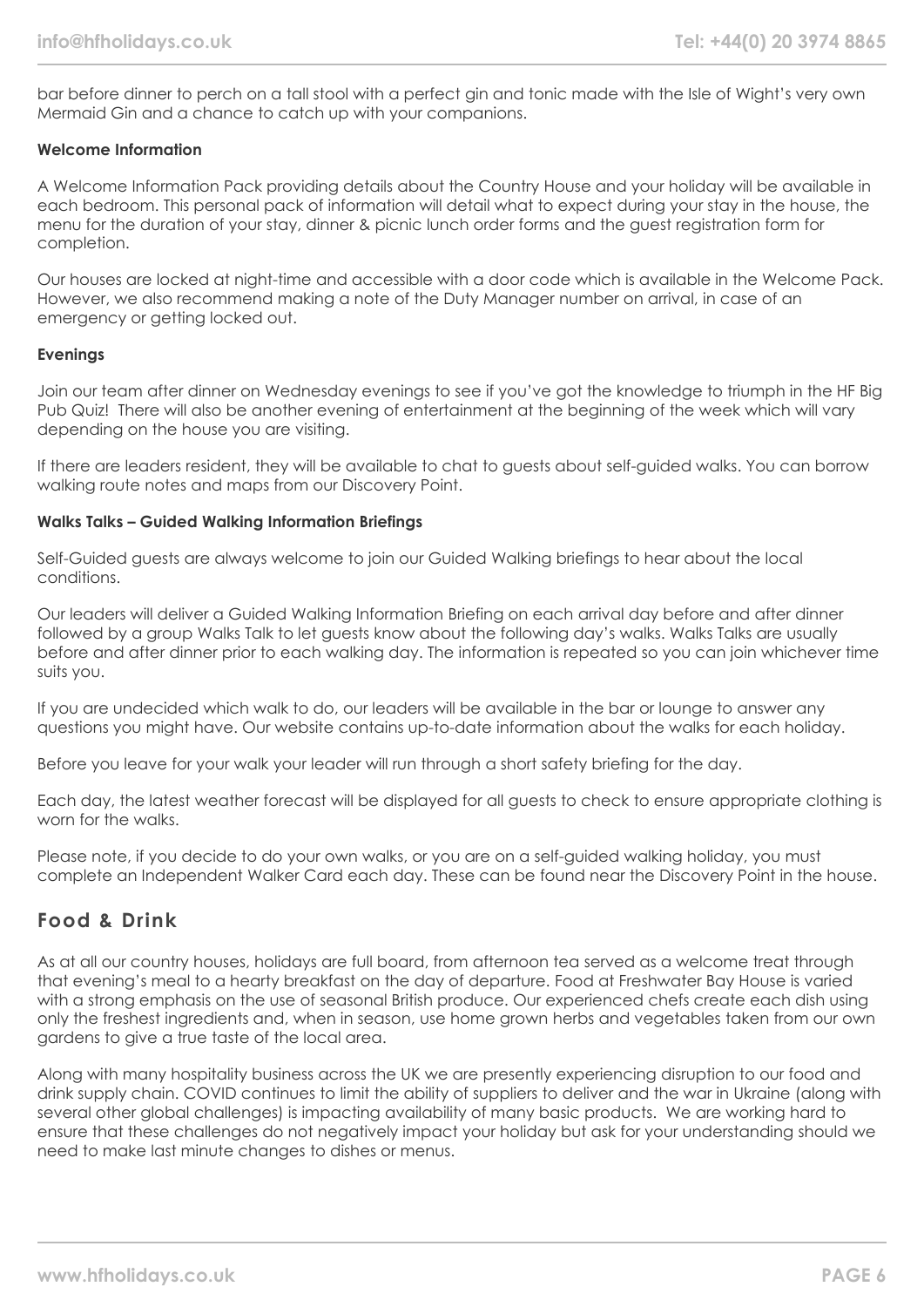bar before dinner to perch on a tall stool with a perfect gin and tonic made with the Isle of Wight's very own Mermaid Gin and a chance to catch up with your companions.

#### **Welcome Information**

A Welcome Information Pack providing details about the Country House and your holiday will be available in each bedroom. This personal pack of information will detail what to expect during your stay in the house, the menu for the duration of your stay, dinner & picnic lunch order forms and the guest registration form for completion.

Our houses are locked at night-time and accessible with a door code which is available in the Welcome Pack. However, we also recommend making a note of the Duty Manager number on arrival, in case of an emergency or getting locked out.

#### **Evenings**

Join our team after dinner on Wednesday evenings to see if you've got the knowledge to triumph in the HF Big Pub Quiz! There will also be another evening of entertainment at the beginning of the week which will vary depending on the house you are visiting.

If there are leaders resident, they will be available to chat to guests about self-guided walks. You can borrow walking route notes and maps from our Discovery Point.

#### **Walks Talks – Guided Walking Information Briefings**

Self-Guided guests are always welcome to join our Guided Walking briefings to hear about the local conditions.

Our leaders will deliver a Guided Walking Information Briefing on each arrival day before and after dinner followed by a group Walks Talk to let guests know about the following day's walks. Walks Talks are usually before and after dinner prior to each walking day. The information is repeated so you can join whichever time suits you.

If you are undecided which walk to do, our leaders will be available in the bar or lounge to answer any questions you might have. Our website contains up-to-date information about the walks for each holiday.

Before you leave for your walk your leader will run through a short safety briefing for the day.

Each day, the latest weather forecast will be displayed for all guests to check to ensure appropriate clothing is worn for the walks.

Please note, if you decide to do your own walks, or you are on a self-guided walking holiday, you must complete an Independent Walker Card each day. These can be found near the Discovery Point in the house.

## **Food & Drink**

As at all our country houses, holidays are full board, from afternoon tea served as a welcome treat through that evening's meal to a hearty breakfast on the day of departure. Food at Freshwater Bay House is varied with a strong emphasis on the use of seasonal British produce. Our experienced chefs create each dish using only the freshest ingredients and, when in season, use home grown herbs and vegetables taken from our own gardens to give a true taste of the local area.

Along with many hospitality business across the UK we are presently experiencing disruption to our food and drink supply chain. COVID continues to limit the ability of suppliers to deliver and the war in Ukraine (along with several other global challenges) is impacting availability of many basic products. We are working hard to ensure that these challenges do not negatively impact your holiday but ask for your understanding should we need to make last minute changes to dishes or menus.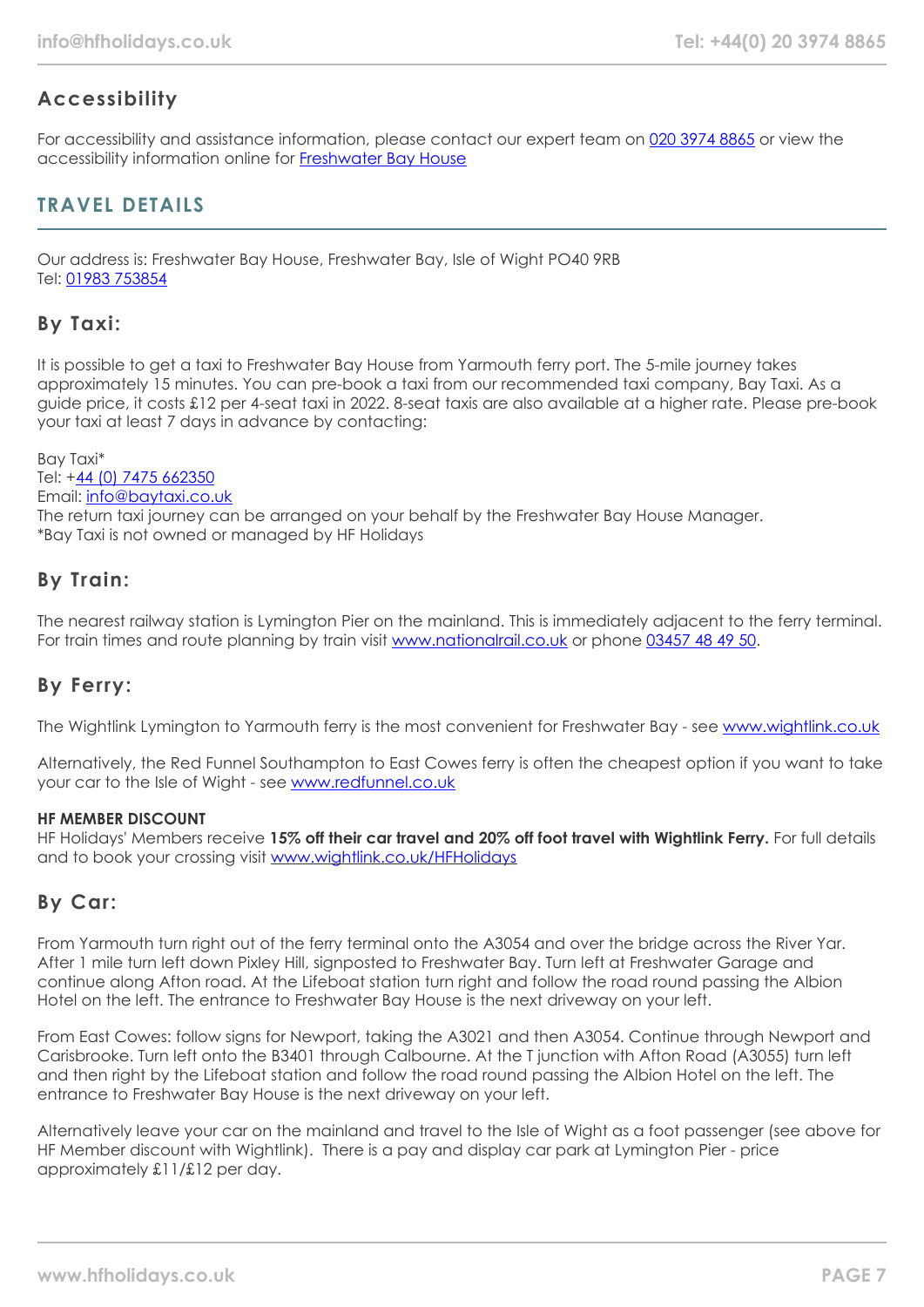# **Accessibility**

For accessibility and assistance information, please contact our expert team on [020 3974 8865](tel:02039748865) or view the accessibility information online for [Freshwater Bay House](https://www.hfholidays.co.uk/images/Documents/accessibility_statements/freswater-bay-house---accessibility-information---update-mar-2021.pdf)

## **TRAVEL DETAILS**

Our address is: Freshwater Bay House, Freshwater Bay, Isle of Wight PO40 9RB Tel: [01983 753854](tel:01983753854)

## **By Taxi:**

It is possible to get a taxi to Freshwater Bay House from Yarmouth ferry port. The 5-mile journey takes approximately 15 minutes. You can pre-book a taxi from our recommended taxi company, Bay Taxi. As a guide price, it costs £12 per 4-seat taxi in 2022. 8-seat taxis are also available at a higher rate. Please pre-book your taxi at least 7 days in advance by contacting:

Bay Taxi\* Tel: +[44 \(0\) 7475 662350](tel:07475662350) Email: [info@baytaxi.co.uk](mailto:info@baytaxi.co.uk) The return taxi journey can be arranged on your behalf by the Freshwater Bay House Manager. \*Bay Taxi is not owned or managed by HF Holidays

## **By Train:**

The nearest railway station is Lymington Pier on the mainland. This is immediately adjacent to the ferry terminal. For train times and route planning by train visit [www.nationalrail.co.uk](https://www.nationalrail.co.uk/) or phone [03457 48 49 50](tel:03457484950).

# **By Ferry:**

The Wightlink Lymington to Yarmouth ferry is the most convenient for Freshwater Bay - see [www.wightlink.co.uk](https://www.wightlink.co.uk/)

Alternatively, the Red Funnel Southampton to East Cowes ferry is often the cheapest option if you want to take your car to the Isle of Wight - see [www.redfunnel.co.uk](https://www.redfunnel.co.uk/)

#### **HF MEMBER DISCOUNT**

HF Holidays' Members receive **15% off their car travel and 20% off foot travel with Wightlink Ferry.** For full details and to book your crossing visit [www.wightlink.co.uk/HFHolidays](https://www.wightlink.co.uk/HFHolidays)

## **By Car:**

From Yarmouth turn right out of the ferry terminal onto the A3054 and over the bridge across the River Yar. After 1 mile turn left down Pixley Hill, signposted to Freshwater Bay. Turn left at Freshwater Garage and continue along Afton road. At the Lifeboat station turn right and follow the road round passing the Albion Hotel on the left. The entrance to Freshwater Bay House is the next driveway on your left.

From East Cowes: follow signs for Newport, taking the A3021 and then A3054. Continue through Newport and Carisbrooke. Turn left onto the B3401 through Calbourne. At the T junction with Afton Road (A3055) turn left and then right by the Lifeboat station and follow the road round passing the Albion Hotel on the left. The entrance to Freshwater Bay House is the next driveway on your left.

Alternatively leave your car on the mainland and travel to the Isle of Wight as a foot passenger (see above for HF Member discount with Wightlink). There is a pay and display car park at Lymington Pier - price approximately £11/£12 per day.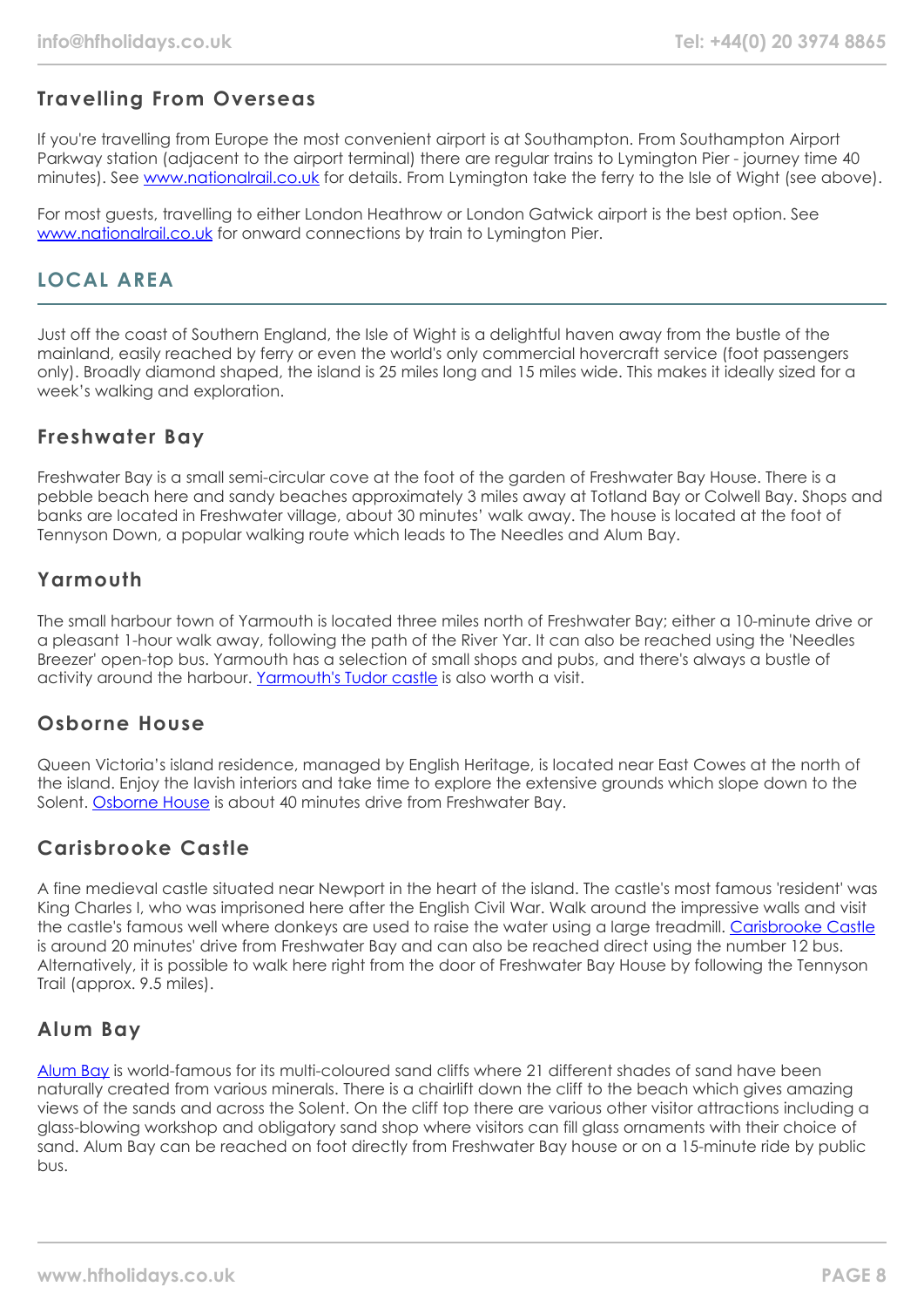# **Travelling From Overseas**

If you're travelling from Europe the most convenient airport is at Southampton. From Southampton Airport Parkway station (adjacent to the airport terminal) there are regular trains to Lymington Pier - journey time 40 minutes). See [www.nationalrail.co.uk](https://www.nationalrail.co.uk/) for details. From Lymington take the ferry to the Isle of Wight (see above).

For most guests, travelling to either London Heathrow or London Gatwick airport is the best option. See [www.nationalrail.co.uk](https://www.nationalrail.co.uk/) for onward connections by train to Lyminaton Pier.

# **LOCAL AREA**

Just off the coast of Southern England, the Isle of Wight is a delightful haven away from the bustle of the mainland, easily reached by ferry or even the world's only commercial hovercraft service (foot passengers only). Broadly diamond shaped, the island is 25 miles long and 15 miles wide. This makes it ideally sized for a week's walking and exploration.

## **Freshwater Bay**

Freshwater Bay is a small semi-circular cove at the foot of the garden of Freshwater Bay House. There is a pebble beach here and sandy beaches approximately 3 miles away at Totland Bay or Colwell Bay. Shops and banks are located in Freshwater village, about 30 minutes' walk away. The house is located at the foot of Tennyson Down, a popular walking route which leads to The Needles and Alum Bay.

## **Yarmouth**

The small harbour town of Yarmouth is located three miles north of Freshwater Bay; either a 10-minute drive or a pleasant 1-hour walk away, following the path of the River Yar. It can also be reached using the 'Needles Breezer' open-top bus. Yarmouth has a selection of small shops and pubs, and there's always a bustle of activity around the harbour. [Yarmouth's Tudor castle](https://www.english-heritage.org.uk/visit/places/yarmouth-castle/) is also worth a visit.

## **Osborne House**

Queen Victoria's island residence, managed by English Heritage, is located near East Cowes at the north of the island. Enjoy the lavish interiors and take time to explore the extensive grounds which slope down to the Solent. [Osborne House](https://www.english-heritage.org.uk/visit/places/osborne/) is about 40 minutes drive from Freshwater Bay.

# **Carisbrooke Castle**

A fine medieval castle situated near Newport in the heart of the island. The castle's most famous 'resident' was King Charles I, who was imprisoned here after the English Civil War. Walk around the impressive walls and visit the castle's famous well where donkeys are used to raise the water using a large treadmill. [Carisbrooke Castle](https://www.english-heritage.org.uk/visit/places/carisbrooke-castle/) is around 20 minutes' drive from Freshwater Bay and can also be reached direct using the number 12 bus. Alternatively, it is possible to walk here right from the door of Freshwater Bay House by following the Tennyson Trail (approx. 9.5 miles).

## **Alum Bay**

[Alum Bay](https://www.visitisleofwight.co.uk/things-to-do/the-needles-landmark-attraction-p148371) is world-famous for its multi-coloured sand cliffs where 21 different shades of sand have been naturally created from various minerals. There is a chairlift down the cliff to the beach which gives amazing views of the sands and across the Solent. On the cliff top there are various other visitor attractions including a glass-blowing workshop and obligatory sand shop where visitors can fill glass ornaments with their choice of sand. Alum Bay can be reached on foot directly from Freshwater Bay house or on a 15-minute ride by public bus.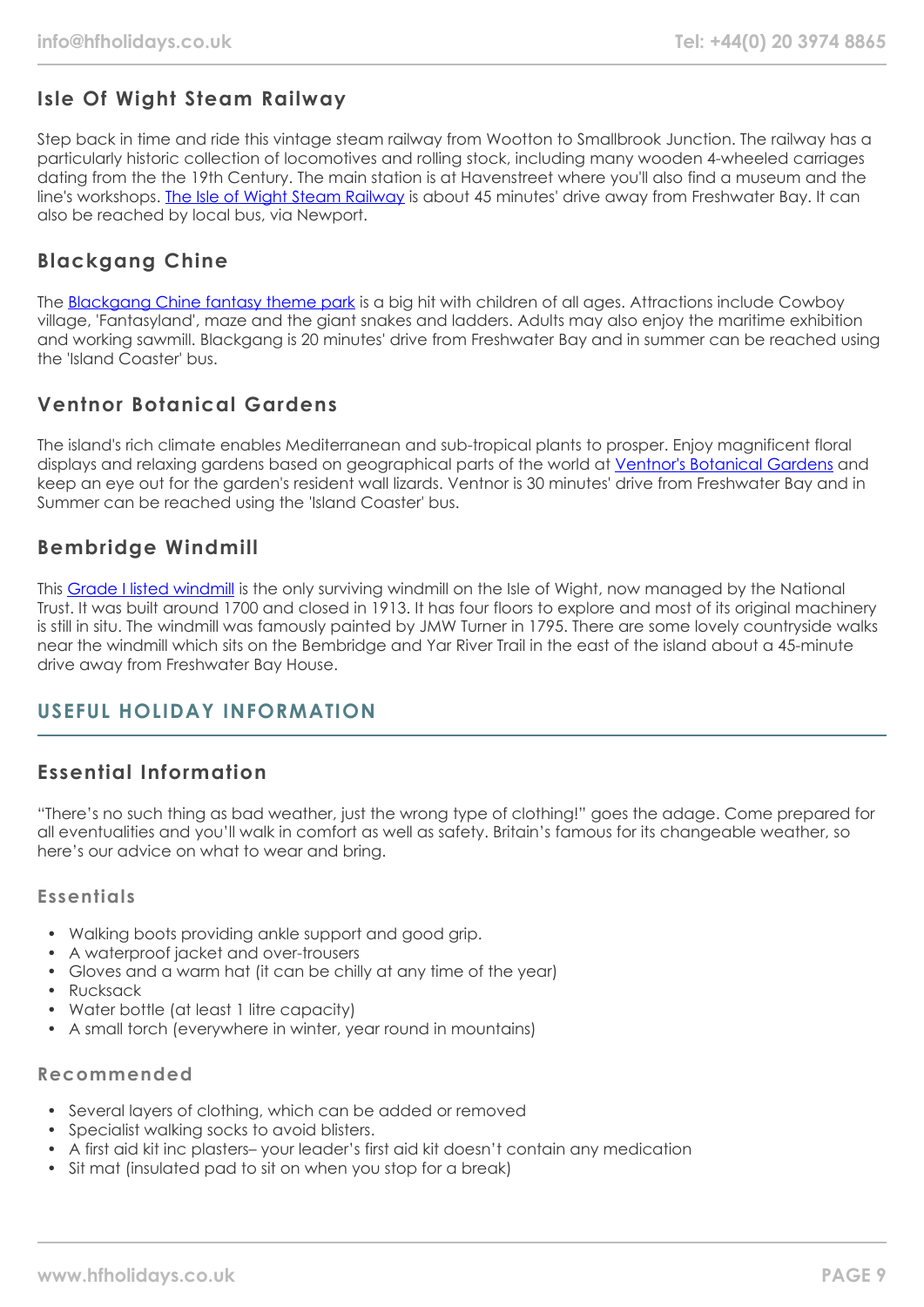# **Isle Of Wight Steam Railway**

Step back in time and ride this vintage steam railway from Wootton to Smallbrook Junction. The railway has a particularly historic collection of locomotives and rolling stock, including many wooden 4-wheeled carriages dating from the the 19th Century. The main station is at Havenstreet where you'll also find a museum and the line's workshops. [The Isle of Wight Steam Railway](https://iwsteamrailway.co.uk/) is about 45 minutes' drive away from Freshwater Bay. It can also be reached by local bus, via Newport.

# **Blackgang Chine**

The [Blackgang Chine fantasy theme park](https://blackgangchine.com/) is a big hit with children of all ages. Attractions include Cowboy village, 'Fantasyland', maze and the giant snakes and ladders. Adults may also enjoy the maritime exhibition and working sawmill. Blackgang is 20 minutes' drive from Freshwater Bay and in summer can be reached using the 'Island Coaster' bus.

# **Ventnor Botanical Gardens**

The island's rich climate enables Mediterranean and sub-tropical plants to prosper. Enjoy magnificent floral displays and relaxing gardens based on geographical parts of the world at [Ventnor's Botanical Gardens](https://www.botanic.co.uk/) and keep an eye out for the garden's resident wall lizards. Ventnor is 30 minutes' drive from Freshwater Bay and in Summer can be reached using the 'Island Coaster' bus.

## **Bembridge Windmill**

This [Grade I listed windmill](https://www.nationaltrust.org.uk/bembridge-windmill) is the only surviving windmill on the Isle of Wight, now managed by the National Trust. It was built around 1700 and closed in 1913. It has four floors to explore and most of its original machinery is still in situ. The windmill was famously painted by JMW Turner in 1795. There are some lovely countryside walks near the windmill which sits on the Bembridge and Yar River Trail in the east of the island about a 45-minute drive away from Freshwater Bay House.

## **USEFUL HOLIDAY INFORMATION**

# **Essential Information**

"There's no such thing as bad weather, just the wrong type of clothing!" goes the adage. Come prepared for all eventualities and you'll walk in comfort as well as safety. Britain's famous for its changeable weather, so here's our advice on what to wear and bring.

### **Essentials**

- Walking boots providing ankle support and good grip.
- A waterproof jacket and over-trousers
- Gloves and a warm hat (it can be chilly at any time of the year)
- Rucksack
- Water bottle (at least 1 litre capacity)
- A small torch (everywhere in winter, year round in mountains)

### **Recommended**

- Several layers of clothing, which can be added or removed
- Specialist walking socks to avoid blisters.
- A first aid kit inc plasters– your leader's first aid kit doesn't contain any medication
- Sit mat (insulated pad to sit on when you stop for a break)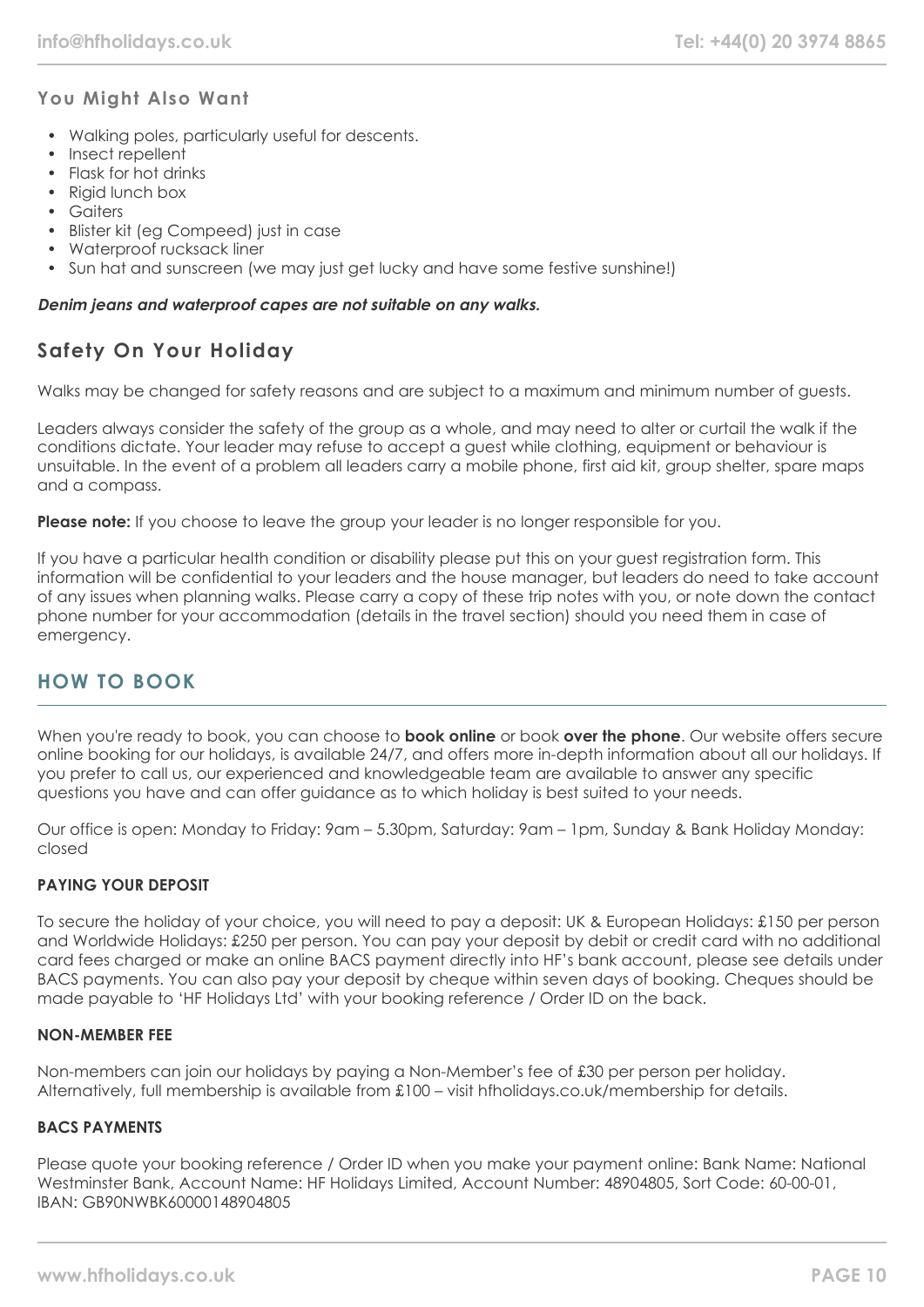## **You Might Also Want**

- Walking poles, particularly useful for descents.
- Insect repellent
- Flask for hot drinks
- Rigid lunch box
- Gaiters
- Blister kit (eg Compeed) just in case
- Waterproof rucksack liner
- Sun hat and sunscreen (we may just get lucky and have some festive sunshine!)

#### **Denim jeans and waterproof capes are not suitable on any walks.**

# **Safety On Your Holiday**

Walks may be changed for safety reasons and are subject to a maximum and minimum number of guests.

Leaders always consider the safety of the group as a whole, and may need to alter or curtail the walk if the conditions dictate. Your leader may refuse to accept a guest while clothing, equipment or behaviour is unsuitable. In the event of a problem all leaders carry a mobile phone, first aid kit, group shelter, spare maps and a compass.

**Please note:** If you choose to leave the group your leader is no longer responsible for you.

If you have a particular health condition or disability please put this on your guest registration form. This information will be confidential to your leaders and the house manager, but leaders do need to take account of any issues when planning walks. Please carry a copy of these trip notes with you, or note down the contact phone number for your accommodation (details in the travel section) should you need them in case of emergency.

## **HOW TO BOOK**

When you're ready to book, you can choose to **book online** or book **over the phone**. Our website offers secure online booking for our holidays, is available 24/7, and offers more in-depth information about all our holidays. If you prefer to call us, our experienced and knowledgeable team are available to answer any specific questions you have and can offer guidance as to which holiday is best suited to your needs.

Our office is open: Monday to Friday: 9am – 5.30pm, Saturday: 9am – 1pm, Sunday & Bank Holiday Monday: closed

#### **PAYING YOUR DEPOSIT**

To secure the holiday of your choice, you will need to pay a deposit: UK & European Holidays: £150 per person and Worldwide Holidays: £250 per person. You can pay your deposit by debit or credit card with no additional card fees charged or make an online BACS payment directly into HF's bank account, please see details under BACS payments. You can also pay your deposit by cheque within seven days of booking. Cheques should be made payable to 'HF Holidays Ltd' with your booking reference / Order ID on the back.

#### **NON-MEMBER FEE**

Non-members can join our holidays by paying a Non-Member's fee of £30 per person per holiday. Alternatively, full membership is available from £100 – visit hfholidays.co.uk/membership for details.

#### **BACS PAYMENTS**

Please quote your booking reference / Order ID when you make your payment online: Bank Name: National Westminster Bank, Account Name: HF Holidays Limited, Account Number: 48904805, Sort Code: 60-00-01, IBAN: GB90NWBK60000148904805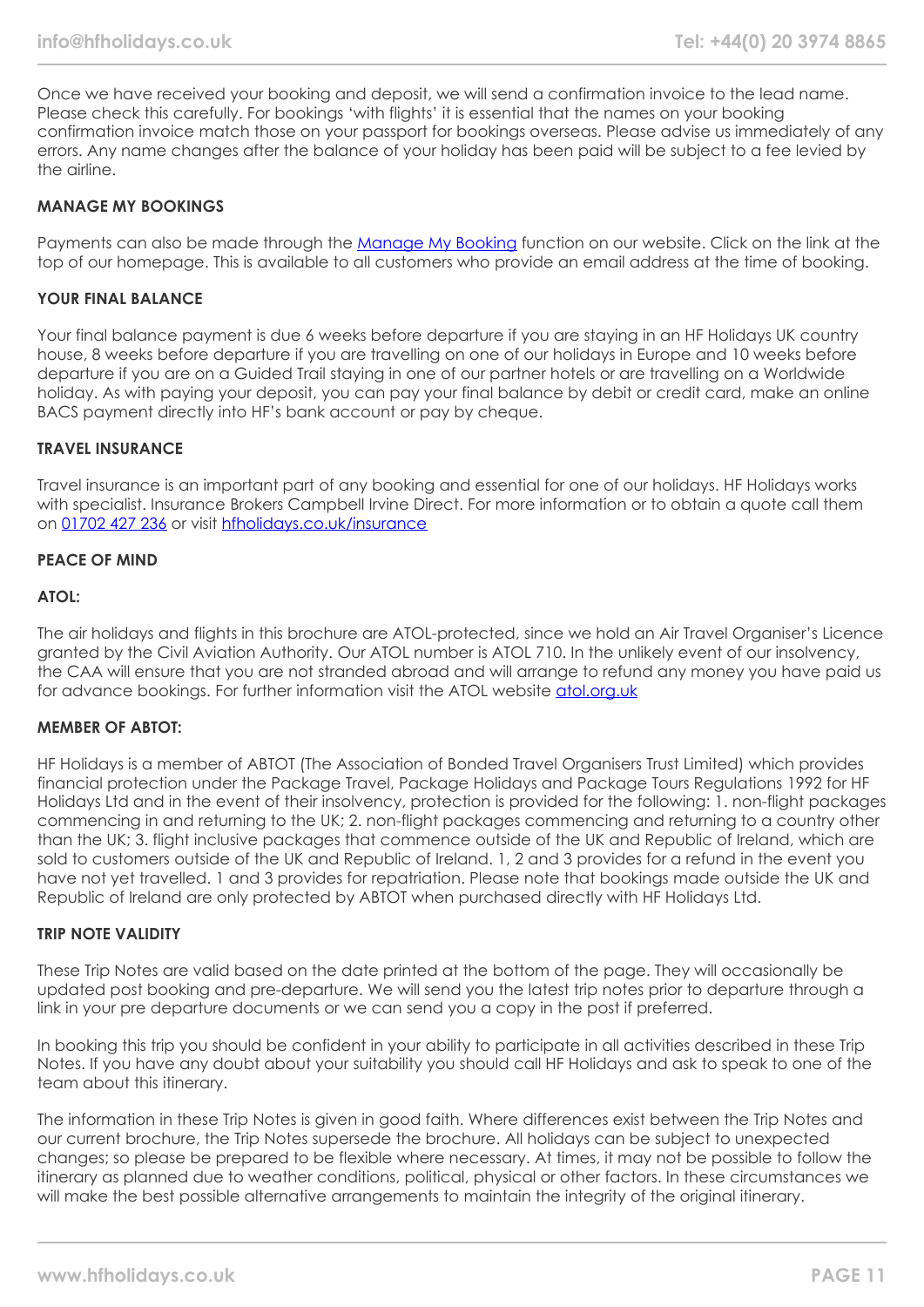Once we have received your booking and deposit, we will send a confirmation invoice to the lead name. Please check this carefully. For bookings 'with flights' it is essential that the names on your booking confirmation invoice match those on your passport for bookings overseas. Please advise us immediately of any errors. Any name changes after the balance of your holiday has been paid will be subject to a fee levied by the airline.

#### **MANAGE MY BOOKINGS**

Payments can also be made through the [Manage My Booking](https://www.hfholidays.co.uk/about-us/bookings/my-booking) function on our website. Click on the link at the top of our homepage. This is available to all customers who provide an email address at the time of booking.

#### **YOUR FINAL BALANCE**

Your final balance payment is due 6 weeks before departure if you are staying in an HF Holidays UK country house, 8 weeks before departure if you are travelling on one of our holidays in Europe and 10 weeks before departure if you are on a Guided Trail staying in one of our partner hotels or are travelling on a Worldwide holiday. As with paying your deposit, you can pay your final balance by debit or credit card, make an online BACS payment directly into HF's bank account or pay by cheque.

#### **TRAVEL INSURANCE**

Travel insurance is an important part of any booking and essential for one of our holidays. HF Holidays works with specialist. Insurance Brokers Campbell Irvine Direct. For more information or to obtain a quote call them on [01702 427 236](tel:01702427236) or visit [hfholidays.co.uk/insurance](https://www.hfholidays.co.uk/about-us/bookings/insurance)

#### **PEACE OF MIND**

#### **ATOL:**

The air holidays and flights in this brochure are ATOL-protected, since we hold an Air Travel Organiser's Licence granted by the Civil Aviation Authority. Our ATOL number is ATOL 710. In the unlikely event of our insolvency, the CAA will ensure that you are not stranded abroad and will arrange to refund any money you have paid us for advance bookings. For further information visit the ATOL website [atol.org.uk](https://www.atol.org/)

#### **MEMBER OF ABTOT:**

HF Holidays is a member of ABTOT (The Association of Bonded Travel Organisers Trust Limited) which provides financial protection under the Package Travel, Package Holidays and Package Tours Regulations 1992 for HF Holidays Ltd and in the event of their insolvency, protection is provided for the following: 1. non-flight packages commencing in and returning to the UK; 2. non-flight packages commencing and returning to a country other than the UK; 3. flight inclusive packages that commence outside of the UK and Republic of Ireland, which are sold to customers outside of the UK and Republic of Ireland. 1, 2 and 3 provides for a refund in the event you have not yet travelled. 1 and 3 provides for repatriation. Please note that bookings made outside the UK and Republic of Ireland are only protected by ABTOT when purchased directly with HF Holidays Ltd.

#### **TRIP NOTE VALIDITY**

These Trip Notes are valid based on the date printed at the bottom of the page. They will occasionally be updated post booking and pre-departure. We will send you the latest trip notes prior to departure through a link in your pre departure documents or we can send you a copy in the post if preferred.

In booking this trip you should be confident in your ability to participate in all activities described in these Trip Notes. If you have any doubt about your suitability you should call HF Holidays and ask to speak to one of the team about this itinerary.

The information in these Trip Notes is given in good faith. Where differences exist between the Trip Notes and our current brochure, the Trip Notes supersede the brochure. All holidays can be subject to unexpected changes; so please be prepared to be flexible where necessary. At times, it may not be possible to follow the itinerary as planned due to weather conditions, political, physical or other factors. In these circumstances we will make the best possible alternative arrangements to maintain the integrity of the original itinerary.